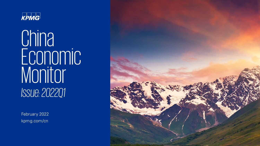

**China** Economic Luuriuri *Issue: 2022Q1*

February 2022 kpmg.com/cn

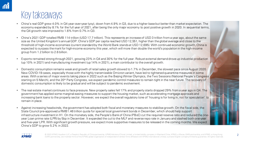# Key takeaways

- China's real GDP grew 4.0% in Q4 year-over-year (yoy), down from 4.9% in Q3, due to a higher base but better than market expectation. The economy expanded by 8.1% for the full year of 2021, after being the only major economy to post positive growth in 2020. In sequential terms, the Q4 growth rate improved to 1.6% from 0.7% in Q3.
- China's 2021 GDP totalled RMB 114 trillion (USD 17.7 trillion). This represents an increase of USD 3 trillion from a year ago, about the same size as the United Kingdom's annual GDP. China's GDP per capita reached USD 12,551, higher than the global average and close to the threshold of high-income economies (current standard by the World Bank stands at USD 12,695). With continued economic growth, China is expected to surpass the mark for high-income economy this year, which will more than double the world's population in the high-income group from 1.2 billion to 2.6 billion.
- Exports remained strong through 2021, growing 23% in Q4 and 30% for the full year. Robust external demand drove up industrial production (up 10% in 2021) and manufacturing investment (up 14% in 2021), a main contributor to the overall growth.
- Domestic consumption remains weak and growth of retail sales growth slowed to 1.7% in December, the slowest pace since August 2020. New COVID-19 cases, especially those with the highly transmissible Omicron variant, have led to tightened quarantine measures in some areas. With a series of major events taking place in 2022 such as the Beijing Winter Olympics, the Two Sessions (National People's Congress starting on 5 March), and the 20<sup>th</sup> Party Congress, we expect pandemic control measures to remain tight in the near future. The recovery of domestic consumption is likely to be gradual and will be subject to pandemic evolvement.
- The real estate market continues to face pressure. New property sales fell 17% and property starts dropped 29% from a year ago in Q4. The government has applied some marginal easing measures to support the housing market, such as accelerating mortgage approvals and increasing bank loans to the property sector. However, we expect the overall regulatory tone of 'housing is for living in, not for speculation' to remain in place.
- Against increasing headwinds, the government has adopted both fiscal and monetary measures to stabilise growth. On the fiscal side, the State Council pre-approved a RMB1.46 trillion quota for special local government bonds in December, which should help support infrastructure investment in H1. On the monetary side, the People's Bank of China (PBoC) cut the required reserve ratio and reduced the oneyear Loan prime rate (LPR) by 5bp in December. It expanded the cut to the MLF and reverse repo rate in January and slashed both one-year and five-year LPR. With significant growth pressure, we expect more supportive measures to be released in the coming months. We expect China's GDP to grow 5.2% in 2022.

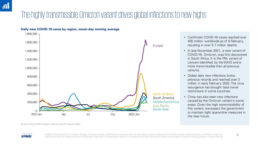## The highly transmissible Omicron variant drives global inflections to new highs





- Confirmed COVID-19 cases reached over 400 million worldwide as of 6 February, resulting in over 5.7 million deaths.
- In late November 2021, a new variant of COVID-19, Omicron, was first discovered in South Africa. It is the fifth variant of concern identified by the WHO and is more transmissible than all previous variants.
- Global daily new infections broke previous records and reached over 3 million in early February 2022. The virus resurgence has brought back travel restrictions in some countries.
- China has also seen new infections caused by the Omicron variant in some areas. Given the high transmissibility of this variant, we expect the government to maintain tight quarantine measures in the near future.



© 2022 KPMG Huazhen LLP, a People's Republic of China partnership, KPMG Advisory (China) Limited, a limited liability company in Mainland China, KPMG, a Macau (SAR) partnership, and KPMG, a Hong Kong (3 (SAR) partnership, are member firms of the KPMG global organisation of independent member firms affiliated with KPMG International Limited, a private English company limited by guarantee. All rights reserved.

Source: Wind, KPMG analysis. Data through 6 February 2022.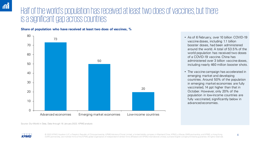### Half of the world's population has received at least two does of vaccines, but there is a significant gap across countries

**Share of population who have received at least two does of vaccines, %**



- As of 6 February, over 10 billion COVID-19 vaccine doses, including 1.1 billion booster doses, had been administered around the world. A total of 53.5% of the world population has received two doses of a COVID-19 vaccine. China has administered over 3 billion vaccine doses, including nearly 460 million booster shots.
- The vaccine campaign has accelerated in emerging market and developing countries. Around 50% of the population in emerging market economies are fully vaccinated, 14 ppt higher than that in October. However, only 20% of the population in low-income countries are fully vaccinated, significantly below in advanced economies.



© 2022 KPMG Huazhen LLP, a People's Republic of China partnership, KPMG Advisory (China) Limited, a limited liability company in Mainland China, KPMG, a Macau (SAR) partnership, and KPMG, a Hong Kong 4 (SAR) partnership, are member firms of the KPMG global organisation of independent member firms affiliated with KPMG International Limited, a private English company limited by guarantee. All rights reserved.

Source: Our World in Data, Data through 16 January 2022. KPMG analysis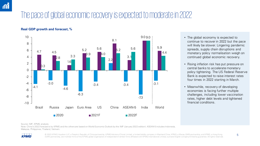# The pace of global economic recoveryis expected to moderate in 2022

#### **Real GDP growth and forecast, %**



- The global economy is expected to continue to recover in 2022 but the pace will likely be slower. Lingering pandemic spreads, supply chain disruptions and monetary policy normalisation weigh on continued global economic recovery.
- Rising inflation risk has put pressure on central banks to accelerate monetary policy tightening. The US Federal Reserve Bank is expected to raise interest rates four times in 2022 starting in March.
- Meanwhile, recovery of developing economies is facing further multiple challenges, including lower vaccination rates, higher debt levels and tightened financial conditions.

Source: IMF, KPMG analysis.

Note: China's 2022 forecast is by KPMG and the others are based on World Economic Outlook by the IMF (January 2022 edition). ASEAN-5 includes Indonesia, Malaysia, Philippines, Thailand, Vietnam.



© 2022 KPMG Huazhen LLP, a People's Republic of China partnership, KPMG Advisory (China) Limited, a limited liability company in Mainland China, KPMG, a Macau (SAR) partnership, and KPMG, a Hong Kong (SAR) partnership, are member firms of the KPMG global organisation of independent member firms affiliated with KPMG International Limited, a private English company limited by guarantee. All rights reserved.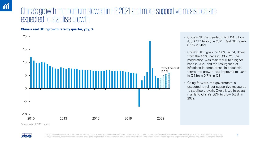### China's growth momentum slowed in H2 2021 and more supportive measures are expected to stabilise growth

**China's real GDP growth rate by quarter, yoy, %**



- China's GDP exceeded RMB 114 trillion (USD 17.7 trillion) in 2021. Real GDP grew 8.1% in 2021.
- China's GDP grew by 4.0% in Q4, down from the 4.9% pace in Q3 2021. The moderation was mainly due to a higher base in 2021 and the resurgence of infections in some areas. In sequential terms, the growth rate improved to 1.6% in Q4 from 0.7% in Q3.
- Going forward, the government is expected to roll out supportive measures to stabilise growth. Overall, we forecast mainland China's GDP to grow 5.2% in 2022.





© 2022 KPMG Huazhen LLP, a People's Republic of China partnership, KPMG Advisory (China) Limited, a limited liability company in Mainland China, KPMG, a Macau (SAR) partnership, and KPMG, a Hong Kong 6 (SAR) partnership, are member firms of the KPMG global organisation of independent member firms affiliated with KPMG International Limited, a private English company limited by guarantee. All rights reserved.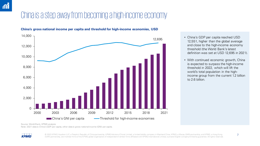# China is a step away from becoming a high-income economy



**China's gross national income per capita and threshold for high-income economies, USD**

- China's GDP per capita reached USD 12,551, higher than the global average and close to the high-income economy threshold (the World Bank's latest definition was set at USD 12,695 in 2021).
- With continued economic growth, China is expected to surpass the high-income threshold in 2022, which will lift the world's total population in the highincome group from the current 1.2 billion to 2.6 billion.

Source: World Bank, KPMG analysis Note: 2021 data is China's GDP per capita, other data is gross national income (GNI) per capita.



© 2022 KPMG Huazhen LLP, a People's Republic of China partnership, KPMG Advisory (China) Limited, a limited liability company in Mainland China, KPMG, a Macau (SAR) partnership, and KPMG, a Hong Kong <>> (SAR) partnership, are member firms of the KPMG global organisation of independent member firms affiliated with KPMG International Limited, a private English company limited by guarantee. All rights reserved.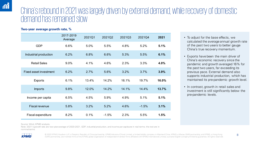### China's rebound in 2021 was largely driven by external demand, while recovery of domestic demand has remained slow

### **Two-year average growth rate, %**

|                        | 2017-2019<br>Average | 2021Q1 | 2021Q2  | 2021Q3 | 2021Q4  | 2021  |
|------------------------|----------------------|--------|---------|--------|---------|-------|
| <b>GDP</b>             | 6.6%                 | 5.0%   | 5.5%    | 4.8%   | 5.2%    | 5.1%  |
| Industrial production  | 6.2%                 | 6.8%   | 6.6%    | 5.3%   | 5.5%    | 6.1%  |
| <b>Retail Sales</b>    | 9.0%                 | 4.1%   | 4.6%    | 2.3%   | 3.3%    | 4.0%  |
| Fixed asset investment | 6.2%                 | 2.7%   | 5.6%    | 3.2%   | 3.7%    | 3.9%  |
| <b>Exports</b>         | 6.1%                 | 13.4%  | 14.2%   | 16.1%  | 19.7%   | 16.0% |
| <b>Imports</b>         | 9.8%                 | 12.0%  | 14.2%   | 14.1%  | 14.4%   | 13.7% |
| Income per capita      | 6.5%                 | 4.5%   | 5.9%    | 4.9%   | 5.1%    | 5.1%  |
| <b>Fiscal revenue</b>  | 5.8%                 | 3.2%   | 5.2%    | 4.6%   | $-1.5%$ | 3.1%  |
| Fiscal expenditure     | 8.2%                 | 0.1%   | $-1.5%$ | 2.3%   | 5.5%    | 1.5%  |

Source: Wind, KPMG analysis.

Note: 2021's growth rate are two-year average of 2020-2021. GDP, industrial production, and income per capita are in real terms; the rest are in nominal terms.

**KPMG** 

© 2022 KPMG Huazhen LLP, a People's Republic of China partnership, KPMG Advisory (China) Limited, a limited liability company in Mainland China, KPMG, a Macau (SAR) partnership, and KPMG, a Hong Kong<br>
8 (SAR) partnership, are member firms of the KPMG global organisation of independent member firms affiliated with KPMG International Limited, a private English company limited by guarantee. All rights reserved.

- To adjust for the base effects, we calculated the average annual growth rate of the past two years to better gauge China's true recovery momentum.
- Exports have been the main driver of China's economic recovery since the pandemic and growth averaged 16% for the past two years, far exceeding its previous pace. External demand also supports industrial production, which has maintained its pre-pandemic growth level.
- In contrast, growth in retail sales and investment is still significantly below the pre-pandemic levels.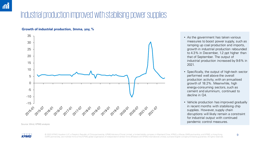## Industrial production improved with stabilising power supplies

#### **Growth of industrial production, 3mma, yoy, %**



Source: Wind, KPMG analysis

- As the government has taken various measures to boost power supply, such as ramping up coal production and imports, growth in industrial production rebounded to 4.3% in December, 1.2 ppt higher than that of September. The output of industrial production increased by 9.6% in 2021.
- Specifically, the output of high-tech sector performed well above the overall production activity, with an annualised growth of 18.2%. Meanwhile, high energy-consuming sectors, such as cement and aluminium, continued to decline in Q4.
- Vehicle production has improved gradually in recent months with stabilising chip supplies. However, supply chain disruptions will likely remain a constraint for industrial output with continued pandemic control measures.



© 2022 KPMG Huazhen LLP, a People's Republic of China partnership, KPMG Advisory (China) Limited, a limited liability company in Mainland China, KPMG, a Macau (SAR) partnership, and KPMG, a Hong Kong<br>
9 (SAR) partnership, are member firms of the KPMG global organisation of independent member firms affiliated with KPMG International Limited, a private English company limited by guarantee. All rights reserved.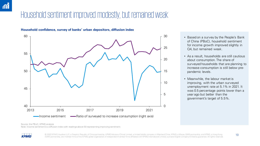### Household sentiment improved modestly, but remained weak



#### **Household confidence, survey of banks' urban depositors, diffusion index**

- Based on a survey by the People's Bank of China (PBoC), household sentiment for income growth improved slightly in Q4, but remained weak.
- As a result, households are still cautious about consumption. The share of surveyed households that are planning to increase consumption is still below prepandemic levels.
- Meanwhile, the labour market is improving, with the urban surveyed unemployment rate at 5.1% in 2021. It was 0.5 percentage points lower than a year ago but better than the government's target of 5.5%.

Source: the PBoC, KPMG analysis

Note: Income sentiment is a diffusion index with readings above 50 representing improving sentiment.



© 2022 KPMG Huazhen LLP, a People's Republic of China partnership, KPMG Advisory (China) Limited, a limited liability company in Mainland China, KPMG, a Macau (SAR) partnership, and KPMG, a Hong Kong [10 ] (SAR) partnership, are member firms of the KPMG global organisation of independent member firms affiliated with KPMG International Limited, a private English company limited by guarantee. All rights reserved.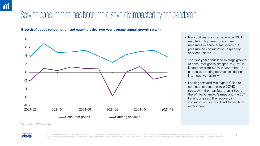### Service consumption has been more severely impacted by the pandemic

**Growth of goods consumption and catering sales, two-year average annual growth rate, %**



- New outbreaks since December 2021 resulted in tightened quarantine measures in some areas, which put pressure on consumption, especially services-related.
- The two-year annualised average growth of consumer goods dropped to 3.7% in December from 5.3% in November. In particular, catering services fell deeper into negative territory.
- Looking forward, we expect China to continue its dynamic zero-COVID strategy in the near future, as it hosts the Winter Olympic Games and the 20<sup>th</sup> Party Congress. The recovery in consumption is still subject to pandemic

Source: Wind, KPMG analysis



© 2022 KPMG Huazhen LLP, a People's Republic of China partnership, KPMG Advisory (China) Limited, a limited liability company in Mainland China, KPMG, a Macau (SAR) partnership, and KPMG, a Hong Kong [11] (SAR) partnership, are member firms of the KPMG global organisation of independent member firms affiliated with KPMG International Limited, a private English company limited by guarantee. All rights reserved.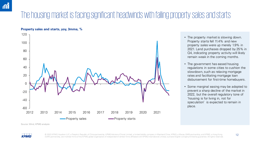# The housing market is facing significant headwinds with falling property sales and starts





- The property market is slowing down. Property starts fell 11.4% and new property sales were up merely 1.9% in 2021. Land purchases dropped by 25% in Q4, indicating property activity will likely remain weak in the coming months.
- The government has eased housing regulations in some cities to cushion the slowdown, such as relaxing mortgage rates and facilitating mortgage loan disbursement for first-time homebuyers.
- Some marginal easing may be adopted to prevent a sharp decline of the market in 2022, but the overall regulatory tone of 'housing is for living in, not for speculation' is expected to remain in place.

Source: Wind, KPMG analysis



© 2022 KPMG Huazhen LLP, a People's Republic of China partnership, KPMG Advisory (China) Limited, a limited liability company in Mainland China, KPMG, a Macau (SAR) partnership, and KPMG, a Hong Kong [2022 KPMG and KPMG, a (SAR) partnership, are member firms of the KPMG global organisation of independent member firms affiliated with KPMG International Limited, a private English company limited by guarantee. All rights reserved.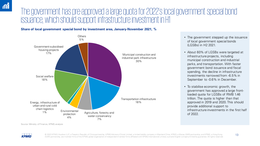### The government has pre-approved a large quota for 2022's local government special bond issuance, which should support infrastructure investment in H1

### **Share of local government special bond by investment area, January-November 2021, %**



- The government stepped up the issuance of local government special bonds (LGSBs) in H2 2021.
- About 60% of LGSBs were targeted at infrastructure projects, including municipal construction and industrial parks, and transportation. With faster government bond issuance and fiscal spending, the decline in infrastructure investments narrowed from -6.5% in September to -0.6% in December.
- To stabilise economic growth, the government has approved a large frontloaded quota for LGSBs of RMB 1.46 trillion. The quota is higher than that approved in 2019 and 2020. This should provide additional support to infrastructure investments in the first half of 2022.

Source: Ministry of Finance, KPMG analysis



© 2022 KPMG Huazhen LLP, a People's Republic of China partnership, KPMG Advisory (China) Limited, a limited liability company in Mainland China, KPMG, a Macau (SAR) partnership, and KPMG, a Hong Kong [3] (SAR) partnership, are member firms of the KPMG global organisation of independent member firms affiliated with KPMG International Limited, a private English company limited by guarantee. All rights reserved.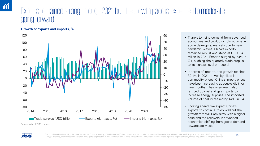### Exports remained strong through 2021, but the growth pace is expected to moderate ping forward

#### **Growth of exports and imports, %**



- Thanks to rising demand from advanced economies and production disruptions in some developing markets due to new pandemic waves, China's exports remained robust and stood at USD 3.4 trillion in 2021. Exports surged by 23% in Q4, pushing the quarterly trade surplus to its highest level on record.
- In terms of imports, the growth reached 30.1% in 2021, driven by hikes in commodity prices. China's import prices have been increasing at double digit for nine months. The government also ramped up coal and gas imports to increase energy supplies. The imported volume of coal increased by 44% in Q4.
- Looking ahead, we expect China's exports to continue to do well but the growth rate will likely slow with a higher base and the recovery in advanced economies shifting from goods demand towards services.



© 2022 KPMG Huazhen LLP, a People's Republic of China partnership, KPMG Advisory (China) Limited, a limited liability company in Mainland China, KPMG, a Macau (SAR) partnership, and KPMG, a Hong Kong<br>14 (SAR) partnership, are member firms of the KPMG global organisation of independent member firms affiliated with KPMG International Limited, a private English company limited by guarantee. All rights reserved.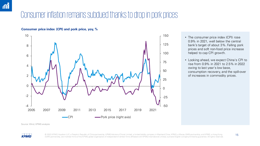# Consumer inflation remains subdued thanks to drop in pork prices

#### **Consumer price index (CPI) and pork price, yoy, %**



- The consumer price index (CPI) rose 0.9% in 2021, well below the central bank's target of about 3%. Falling pork prices and soft non-food price increase helped to cap CPI growth.
- Looking ahead, we expect China's CPI to rise from 0.9% in 2021 to 2.5% in 2022 owing to last year's low base, consumption recovery, and the spill-over of increases in commodity prices.

Source: Wind, KPMG analysis

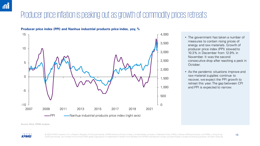## Producer price inflation is peaking out as growth of commodity prices retreats



**Producer price index (PPI) and Nanhua industrial products price index, yoy, %**

- The government has taken a number of measures to contain rising prices of energy and raw materials. Growth of producer price index (PPI) slowed to 10.3% in December from 12.9% in November. It was the second consecutive drop after reaching a peck in October.
- As the pandemic situations improve and raw material supplies continue to recover, we expect the PPI growth to retreat this year. The gap between CPI and PPI is expected to narrow.

Source: Wind, KPMG analysis



© 2022 KPMG Huazhen LLP, a People's Republic of China partnership, KPMG Advisory (China) Limited, a limited liability company in Mainland China, KPMG, a Macau (SAR) partnership, and KPMG, a Hong Kong 16 (SAR) partnership, are member firms of the KPMG global organisation of independent member firms affiliated with KPMG International Limited, a private English company limited by guarantee. All rights reserved.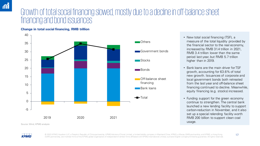### Growth of total social financing slowed, mostly due to a decline in off-balance sheet financing and bond issuances

#### **Change in total social financing, RMB trillion**



- New total social financing (TSF), a measure of the total liquidity provided by the financial sector to the real economy, increased by RMB 31.4 trillion in 2021, RMB 3.4 trillion lower than the same period last year, but RMB 5.7 trillion higher than in 2019.
- Bank loans are the main driver for TSF growth, accounting for 63.6% of total new growth. Issuances of corporate and local government bonds both retreated from the last year and off-balance sheet financing continued to decline. Meanwhile, equity financing (e.g. stocks) increased.
- Funding support for the green economy continue to strengthen. The central bank launched a new lending facility to support carbon-reduction in November, and it also set up a special relending facility worth RMB 200 billion to support clean coal



© 2022 KPMG Huazhen LLP, a People's Republic of China partnership, KPMG Advisory (China) Limited, a limited liability company in Mainland China, KPMG, a Macau (SAR) partnership, and KPMG, a Hong Kong [17] (SAR) partnership, are member firms of the KPMG global organisation of independent member firms affiliated with KPMG International Limited, a private English company limited by guarantee. All rights reserved.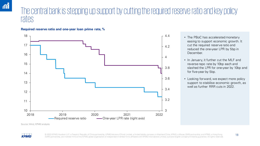### The central bank is stepping up support by cutting the required reserve ratio and key policy rates

**Required reserve ratio and one-year loan prime rate, %**



- The PBoC has accelerated monetary easing to support economic growth. It cut the required reserve ratio and reduced the one-year LPR by 5bp in December.
- In January, it further cut the MLF and reverse repo rate by 10bp each and slashed the LPR for one-year by 10bp and for five-year by 5bp.
- Looking forward, we expect more policy support to stabilise economic growth, as well as further RRR cuts in 2022.

Source: Wind, KPMG analysis.



© 2022 KPMG Huazhen LLP, a People's Republic of China partnership, KPMG Advisory (China) Limited, a limited liability company in Mainland China, KPMG, a Macau (SAR) partnership, and KPMG, a Hong Kong (18 (SAR) partnership, are member firms of the KPMG global organisation of independent member firms affiliated with KPMG International Limited, a private English company limited by guarantee. All rights reserved.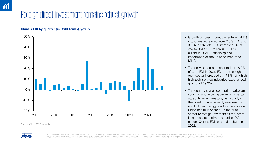# Foreign direct investment remains robust growth

### **China's FDI by quarter (in RMB terms), yoy, %**



Source: Wind, KPMG analysis **2022.** Note that the set of the set of the set of the set of the set of the set of the set of the set of the set of the set of the set of the set of the set of the set of the set of the set of

- Growth of foreign direct investment (FDI) into China increased from 2.0% in Q3 to 3.1% in Q4. Total FDI increased 14.9% yoy to RMB 1.15 trillion (USD 173.5 billion) in 2021, underlining the importance of the Chinese market to MNCs.
- The service sector accounted for 78.9% of total FDI in 2021. FDI into the hightech sector increased by 17.1%, of which high-tech service industries experienced growth of 19.2%.
- The country's large domestic market and strong manufacturing base continue to attract foreign investors, particularly in the wealth management, new energy, and high technology sectors. In addition, China has fully opened up the auto sector to foreign investors as the latest Negative List is trimmed further. We expect China's FDI to remain robust in



© 2022 KPMG Huazhen LLP, a People's Republic of China partnership, KPMG Advisory (China) Limited, a limited liability company in Mainland China, KPMG, a Macau (SAR) partnership, and KPMG, a Hong Kong 19 (SAR) partnership, are member firms of the KPMG global organisation of independent member firms affiliated with KPMG International Limited, a private English company limited by guarantee. All rights reserved.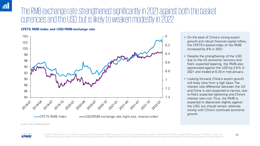### The RMB exchange rate strengthened significantly in 2021 against both the basket currencies and the USD, but is likely to weaken modestly in 2022

#### **CFETS RMB index and USD/RMB exchange rate**



- On the back of China's strong export growth and robust financial capital inflow, the CFETS's basket index of the RMB increased by 8% in 2021.
- Despite the strengthening of the USD due to the US economic recovery and Fed's expected tapering, the RMB also appreciated against the USD by 2.6% in 2021 and traded at 6.35 in mid-January.
- Looking forward, China's export growth will likely slow from a high base. The interest rate differential between the US and China is also expected to narrow, due to Fed's expected tightening and China's interest rate cuts. Thus, the RMB is expected to depreciate slightly against the USD, but should remain relatively strong with China's continued economic growth.

Source: Wind, KPMG analysis



© 2022 KPMG Huazhen LLP, a People's Republic of China partnership, KPMG Advisory (China) Limited, a limited liability company in Mainland China, KPMG, a Macau (SAR) partnership, and KPMG, a Hong Kong<br>20 (SAR) partnership, are member firms of the KPMG global organisation of independent member firms affiliated with KPMG International Limited, a private English company limited by guarantee. All rights reserved.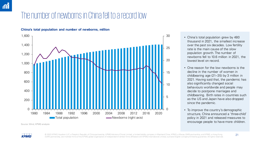# The number of newborns in China fell to a record low



#### **China's total population and number of newborns, million**

Source: Wind, KPMG analysis

- China's total population grew by 480 thousand in 2021, the smallest increase over the past six decades. Low fertility rate is the main cause of the slow population growth. The number of newborns fell to 10.6 million in 2021, the lowest level on record.
- One reason for the low newborns is the decline in the number of women in childbearing age (21–35) by 3 million in 2021. Having said that, the pandemic has also significantly changed social behaviours worldwide and people may decide to postpone marriages and childbearing. Birth rates in countries such as the US and Japan have also dropped since the pandemic.
- To improve the country's demographic structure, China announced a 'three-child' policy in 2021 and released measures to encourage people to have more children.

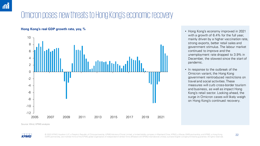# Omicron poses new threats to Hong Kong's economic recovery

### **Hong Kong's real GDP growth rate, yoy, %**



- Hong Kong's economy improved in 2021 with a growth of 6.4% for the full year, mainly driven by a higher vaccination rate, strong exports, better retail sales and government stimulus. The labour market continued to improve and the unemployment rate dropped to 3.9% in December, the slowest since the start of pandemic.
- In response to the outbreak of the Omicron variant, the Hong Kong government reintroduced restrictions on travel and social activities. These measures will curb cross-border tourism and business, as well as impact Hong Kong's retail sector. Looking ahead, the surge in Omicron cases will likely weigh on Hong Kong's continued recovery.

Source: Wind, KPMG analysis



© 2022 KPMG Huazhen LLP, a People's Republic of China partnership, KPMG Advisory (China) Limited, a limited liability company in Mainland China, KPMG, a Macau (SAR) partnership, and KPMG, a Hong Kong 20 (SAR) partnership, are member firms of the KPMG global organisation of independent member firms affiliated with KPMG International Limited, a private English company limited by guarantee. All rights reserved.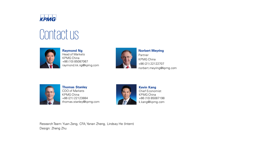

# Contact us



**Raymond Ng** Head of Markets KPMG China +86 (10) 85087067 raymond.kk.ng@kpmg.com



**Norbert Meyring** Partner KPMG China +86 (21) 22122707 norbert.meyring@kpmg.com



**Thomas Stanley** COO of Markets KPMG China +86 (21) 22123884 thomas.stanley@kpmg.com



**Kevin Kang** Chief Economist KPMG China +86 (10) 85087198 k.kang@kpmg.com

Research Team: Yuan Zeng, CFA; Yanan Zheng, Lindsay He (Intern) Design: Zheng Zhu